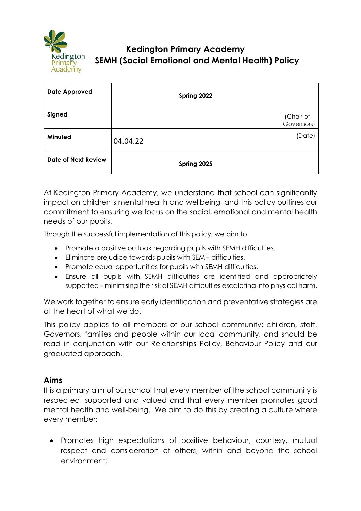

# **Kedington Primary Academy SEMH (Social Emotional and Mental Health) Policy**

| <b>Date Approved</b>       | Spring 2022 |                         |
|----------------------------|-------------|-------------------------|
| Signed                     |             | (Chair of<br>Governors) |
| Minuted                    | 04.04.22    | (Date)                  |
| <b>Date of Next Review</b> | Spring 2025 |                         |

At Kedington Primary Academy, we understand that school can significantly impact on children's mental health and wellbeing, and this policy outlines our commitment to ensuring we focus on the social, emotional and mental health needs of our pupils.

Through the successful implementation of this policy, we aim to:

- Promote a positive outlook regarding pupils with SEMH difficulties.
- Eliminate prejudice towards pupils with SEMH difficulties.
- Promote equal opportunities for pupils with SEMH difficulties.
- Ensure all pupils with SEMH difficulties are identified and appropriately supported – minimising the risk of SEMH difficulties escalating into physical harm.

We work together to ensure early identification and preventative strategies are at the heart of what we do.

This policy applies to all members of our school community: children, staff, Governors, families and people within our local community, and should be read in conjunction with our Relationships Policy, Behaviour Policy and our graduated approach.

#### **Aims**

It is a primary aim of our school that every member of the school community is respected, supported and valued and that every member promotes good mental health and well-being. We aim to do this by creating a culture where every member:

• Promotes high expectations of positive behaviour, courtesy, mutual respect and consideration of others, within and beyond the school environment;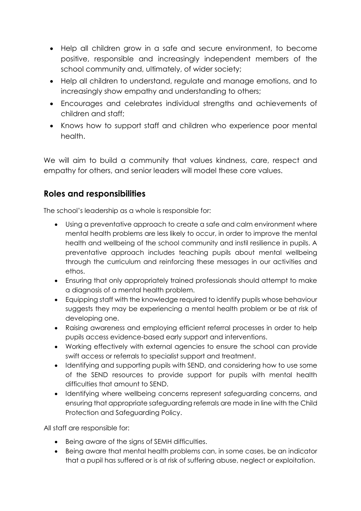- Help all children grow in a safe and secure environment, to become positive, responsible and increasingly independent members of the school community and, ultimately, of wider society;
- Help all children to understand, regulate and manage emotions, and to increasingly show empathy and understanding to others;
- Encourages and celebrates individual strengths and achievements of children and staff;
- Knows how to support staff and children who experience poor mental health.

We will aim to build a community that values kindness, care, respect and empathy for others, and senior leaders will model these core values.

### **Roles and responsibilities**

The school's leadership as a whole is responsible for:

- Using a preventative approach to create a safe and calm environment where mental health problems are less likely to occur, in order to improve the mental health and wellbeing of the school community and instil resilience in pupils. A preventative approach includes teaching pupils about mental wellbeing through the curriculum and reinforcing these messages in our activities and ethos.
- Ensuring that only appropriately trained professionals should attempt to make a diagnosis of a mental health problem.
- Equipping staff with the knowledge required to identify pupils whose behaviour suggests they may be experiencing a mental health problem or be at risk of developing one.
- Raising awareness and employing efficient referral processes in order to help pupils access evidence-based early support and interventions.
- Working effectively with external agencies to ensure the school can provide swift access or referrals to specialist support and treatment.
- Identifying and supporting pupils with SEND, and considering how to use some of the SEND resources to provide support for pupils with mental health difficulties that amount to SEND.
- Identifying where wellbeing concerns represent safeguarding concerns, and ensuring that appropriate safeguarding referrals are made in line with the Child Protection and Safeguarding Policy.

All staff are responsible for:

- Being aware of the signs of SEMH difficulties.
- Being aware that mental health problems can, in some cases, be an indicator that a pupil has suffered or is at risk of suffering abuse, neglect or exploitation.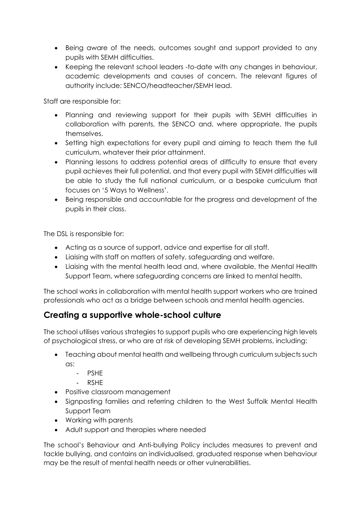- Being aware of the needs, outcomes sought and support provided to any pupils with SEMH difficulties.
- Keeping the relevant school leaders -to-date with any changes in behaviour, academic developments and causes of concern. The relevant figures of authority include: SENCO/headteacher/SEMH lead.

Staff are responsible for:

- Planning and reviewing support for their pupils with SEMH difficulties in collaboration with parents, the SENCO and, where appropriate, the pupils themselves.
- Setting high expectations for every pupil and aiming to teach them the full curriculum, whatever their prior attainment.
- Planning lessons to address potential areas of difficulty to ensure that every pupil achieves their full potential, and that every pupil with SEMH difficulties will be able to study the full national curriculum, or a bespoke curriculum that focuses on '5 Ways to Wellness'.
- Being responsible and accountable for the progress and development of the pupils in their class.

The DSL is responsible for:

- Acting as a source of support, advice and expertise for all staff.
- Liaising with staff on matters of safety, safeguarding and welfare.
- Liaising with the mental health lead and, where available, the Mental Health Support Team, where safeguarding concerns are linked to mental health.

The school works in collaboration with mental health support workers who are trained professionals who act as a bridge between schools and mental health agencies.

#### **Creating a supportive whole-school culture**

The school utilises various strategies to support pupils who are experiencing high levels of psychological stress, or who are at risk of developing SEMH problems, including:

- Teaching about mental health and wellbeing through curriculum subjects such as:
	- PSHE
	- RSHE
- Positive classroom management
- Signposting families and referring children to the West Suffolk Mental Health Support Team
- Working with parents
- Adult support and therapies where needed

The school's Behaviour and Anti-bullying Policy includes measures to prevent and tackle bullying, and contains an individualised, graduated response when behaviour may be the result of mental health needs or other vulnerabilities.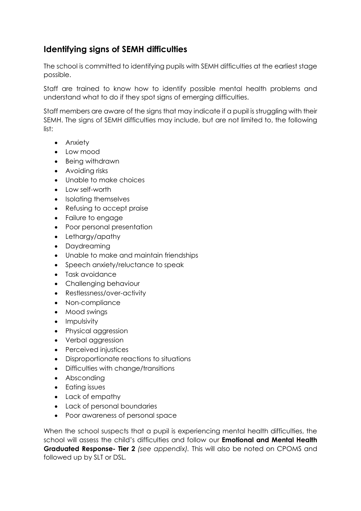## **Identifying signs of SEMH difficulties**

The school is committed to identifying pupils with SEMH difficulties at the earliest stage possible.

Staff are trained to know how to identify possible mental health problems and understand what to do if they spot signs of emerging difficulties.

Staff members are aware of the signs that may indicate if a pupil is struggling with their SEMH. The signs of SEMH difficulties may include, but are not limited to, the following list:

- Anxiety
- Low mood
- Being withdrawn
- Avoiding risks
- Unable to make choices
- Low self-worth
- Isolating themselves
- Refusing to accept praise
- Failure to engage
- Poor personal presentation
- Lethargy/apathy
- Daydreaming
- Unable to make and maintain friendships
- Speech anxiety/reluctance to speak
- Task avoidance
- Challenging behaviour
- Restlessness/over-activity
- Non-compliance
- Mood swings
- Impulsivity
- Physical aggression
- Verbal aggression
- Perceived injustices
- Disproportionate reactions to situations
- Difficulties with change/transitions
- Absconding
- Eating issues
- Lack of empathy
- Lack of personal boundaries
- Poor awareness of personal space

When the school suspects that a pupil is experiencing mental health difficulties, the school will assess the child's difficulties and follow our **Emotional and Mental Health Graduated Response- Tier 2** *(see appendix).* This will also be noted on CPOMS and followed up by SLT or DSL*.*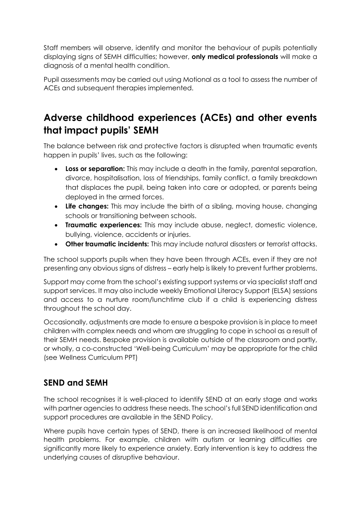Staff members will observe, identify and monitor the behaviour of pupils potentially displaying signs of SEMH difficulties; however, **only medical professionals** will make a diagnosis of a mental health condition.

Pupil assessments may be carried out using Motional as a tool to assess the number of ACEs and subsequent therapies implemented.

# **Adverse childhood experiences (ACEs) and other events that impact pupils' SEMH**

The balance between risk and protective factors is disrupted when traumatic events happen in pupils' lives, such as the following:

- **Loss or separation:** This may include a death in the family, parental separation, divorce, hospitalisation, loss of friendships, family conflict, a family breakdown that displaces the pupil, being taken into care or adopted, or parents being deployed in the armed forces.
- **Life changes:** This may include the birth of a sibling, moving house, changing schools or transitioning between schools.
- **Traumatic experiences:** This may include abuse, neglect, domestic violence, bullying, violence, accidents or injuries.
- **Other traumatic incidents:** This may include natural disasters or terrorist attacks.

The school supports pupils when they have been through ACEs, even if they are not presenting any obvious signs of distress – early help is likely to prevent further problems.

Support may come from the school's existing support systems or via specialist staff and support services. It may also include weekly Emotional Literacy Support (ELSA) sessions and access to a nurture room/lunchtime club if a child is experiencing distress throughout the school day.

Occasionally, adjustments are made to ensure a bespoke provision is in place to meet children with complex needs and whom are struggling to cope in school as a result of their SEMH needs. Bespoke provision is available outside of the classroom and partly, or wholly, a co-constructed 'Well-being Curriculum' may be appropriate for the child (see Wellness Curriculum PPT)

## **SEND and SEMH**

The school recognises it is well-placed to identify SEND at an early stage and works with partner agencies to address these needs. The school's full SEND identification and support procedures are available in the SEND Policy.

Where pupils have certain types of SEND, there is an increased likelihood of mental health problems. For example, children with autism or learning difficulties are significantly more likely to experience anxiety. Early intervention is key to address the underlying causes of disruptive behaviour.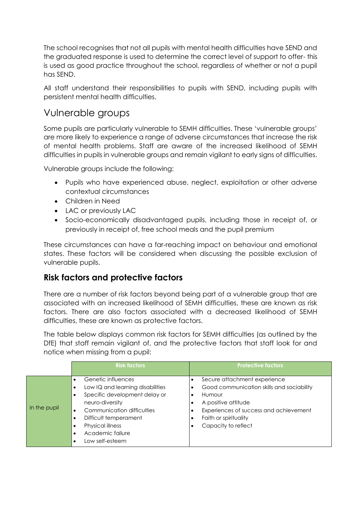The school recognises that not all pupils with mental health difficulties have SEND and the graduated response is used to determine the correct level of support to offer- this is used as good practice throughout the school, regardless of whether or not a pupil has SEND.

All staff understand their responsibilities to pupils with SEND, including pupils with persistent mental health difficulties.

# Vulnerable groups

Some pupils are particularly vulnerable to SEMH difficulties. These 'vulnerable groups' are more likely to experience a range of adverse circumstances that increase the risk of mental health problems. Staff are aware of the increased likelihood of SEMH difficulties in pupils in vulnerable groups and remain vigilant to early signs of difficulties.

Vulnerable groups include the following:

- Pupils who have experienced abuse, neglect, exploitation or other adverse contextual circumstances
- Children in Need
- LAC or previously LAC
- Socio-economically disadvantaged pupils, including those in receipt of, or previously in receipt of, free school meals and the pupil premium

These circumstances can have a far-reaching impact on behaviour and emotional states. These factors will be considered when discussing the possible exclusion of vulnerable pupils.

### **Risk factors and protective factors**

There are a number of risk factors beyond being part of a vulnerable group that are associated with an increased likelihood of SEMH difficulties, these are known as risk factors. There are also factors associated with a decreased likelihood of SEMH difficulties, these are known as protective factors.

The table below displays common risk factors for SEMH difficulties (as outlined by the DfE) that staff remain vigilant of, and the protective factors that staff look for and notice when missing from a pupil:

|              | <b>Risk factors</b>                                                                                                                                                                                                          | <b>Protective factors</b>                                                                                                                                                                            |
|--------------|------------------------------------------------------------------------------------------------------------------------------------------------------------------------------------------------------------------------------|------------------------------------------------------------------------------------------------------------------------------------------------------------------------------------------------------|
| In the pupil | Genetic influences<br>Low IQ and learning disabilities<br>Specific development delay or<br>neuro-diversity<br>Communication difficulties<br>Difficult temperament<br>Physical illness<br>Academic failure<br>Low self-esteem | Secure attachment experience<br>Good communication skills and sociability<br>Humour<br>A positive attitude<br>Experiences of success and achievement<br>Faith or spirituality<br>Capacity to reflect |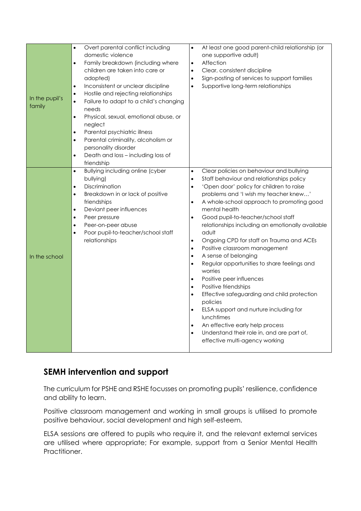| $\bullet$<br>$\bullet$<br>$\bullet$<br>$\bullet$<br>In the pupil's<br>$\bullet$<br>family<br>$\bullet$<br>$\bullet$<br>$\bullet$<br>$\bullet$ | Overt parental conflict including<br>domestic violence<br>Family breakdown (including where<br>children are taken into care or<br>adopted)<br>Inconsistent or unclear discipline<br>Hostile and rejecting relationships<br>Failure to adapt to a child's changing<br>needs<br>Physical, sexual, emotional abuse, or<br>neglect<br>Parental psychiatric illness<br>Parental criminality, alcoholism or<br>personality disorder<br>Death and loss - including loss of<br>friendship | At least one good parent-child relationship (or<br>$\bullet$<br>one supportive adult)<br>Affection<br>$\bullet$<br>Clear, consistent discipline<br>$\bullet$<br>Sign-posting of services to support families<br>$\bullet$<br>Supportive long-term relationships<br>$\bullet$                                                                                                                                                                                                                                                                                                                                                                                                                                                                                                                                                                                                                                                                                                                           |
|-----------------------------------------------------------------------------------------------------------------------------------------------|-----------------------------------------------------------------------------------------------------------------------------------------------------------------------------------------------------------------------------------------------------------------------------------------------------------------------------------------------------------------------------------------------------------------------------------------------------------------------------------|--------------------------------------------------------------------------------------------------------------------------------------------------------------------------------------------------------------------------------------------------------------------------------------------------------------------------------------------------------------------------------------------------------------------------------------------------------------------------------------------------------------------------------------------------------------------------------------------------------------------------------------------------------------------------------------------------------------------------------------------------------------------------------------------------------------------------------------------------------------------------------------------------------------------------------------------------------------------------------------------------------|
| $\bullet$<br>$\bullet$<br>$\bullet$<br>$\bullet$<br>$\bullet$<br>$\bullet$<br>$\bullet$<br>In the school                                      | <b>Bullying including online (cyber</b><br>bullying)<br>Discrimination<br>Breakdown in or lack of positive<br>friendships<br>Deviant peer influences<br>Peer pressure<br>Peer-on-peer abuse<br>Poor pupil-to-teacher/school staff<br>relationships                                                                                                                                                                                                                                | Clear policies on behaviour and bullying<br>$\bullet$<br>Staff behaviour and relationships policy<br>$\bullet$<br>'Open door' policy for children to raise<br>$\bullet$<br>problems and 'I wish my teacher knew'<br>A whole-school approach to promoting good<br>$\bullet$<br>mental health<br>Good pupil-to-teacher/school staff<br>$\bullet$<br>relationships including an emotionally available<br>adult<br>Ongoing CPD for staff on Trauma and ACEs<br>$\bullet$<br>Positive classroom management<br>$\bullet$<br>A sense of belonging<br>$\bullet$<br>Regular opportunities to share feelings and<br>$\bullet$<br>worries<br>Positive peer influences<br>$\bullet$<br>Positive friendships<br>$\bullet$<br>Effective safeguarding and child protection<br>$\bullet$<br>policies<br>ELSA support and nurture including for<br>$\bullet$<br>lunchtimes<br>An effective early help process<br>$\bullet$<br>Understand their role in, and are part of,<br>$\bullet$<br>effective multi-agency working |

### **SEMH intervention and support**

The curriculum for PSHE and RSHE focusses on promoting pupils' resilience, confidence and ability to learn.

Positive classroom management and working in small groups is utilised to promote positive behaviour, social development and high self-esteem.

ELSA sessions are offered to pupils who require it, and the relevant external services are utilised where appropriate; For example, support from a Senior Mental Health Practitioner.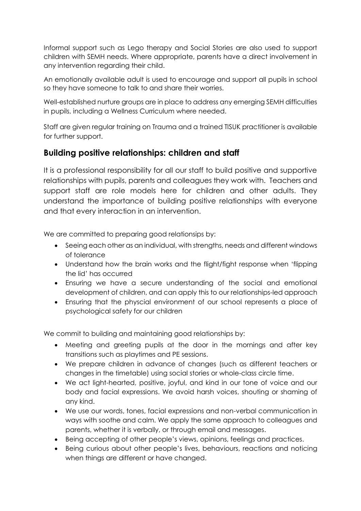Informal support such as Lego therapy and Social Stories are also used to support children with SEMH needs. Where appropriate, parents have a direct involvement in any intervention regarding their child.

An emotionally available adult is used to encourage and support all pupils in school so they have someone to talk to and share their worries.

Well-established nurture groups are in place to address any emerging SEMH difficulties in pupils, including a Wellness Curriculum where needed.

Staff are given regular training on Trauma and a trained TISUK practitioner is available for further support.

### **Building positive relationships: children and staff**

It is a professional responsibility for all our staff to build positive and supportive relationships with pupils, parents and colleagues they work with.Teachers and support staff are role models here for children and other adults. They understand the importance of building positive relationships with everyone and that every interaction in an intervention.

We are committed to preparing good relationsips by:

- Seeing each other as an individual, with strengths, needs and different windows of tolerance
- Understand how the brain works and the flight/fight response when 'flipping the lid' has occurred
- Ensuring we have a secure understanding of the social and emotional development of children, and can apply this to our relationships-led approach
- Ensuring that the physcial environment of our school represents a place of psychological safety for our children

We commit to building and maintaining good relationships by:

- Meeting and greeting pupils at the door in the mornings and after key transitions such as playtimes and PE sessions.
- We prepare children in advance of changes (such as different teachers or changes in the timetable) using social stories or whole-class circle time.
- We act light-hearted, positive, joyful, and kind in our tone of voice and our body and facial expressions. We avoid harsh voices, shouting or shaming of any kind.
- We use our words, tones, facial expressions and non-verbal communication in ways with soothe and calm. We apply the same approach to colleagues and parents, whether it is verbally, or through email and messages.
- Being accepting of other people's views, opinions, feelings and practices.
- Being curious about other people's lives, behaviours, reactions and noticing when things are different or have changed.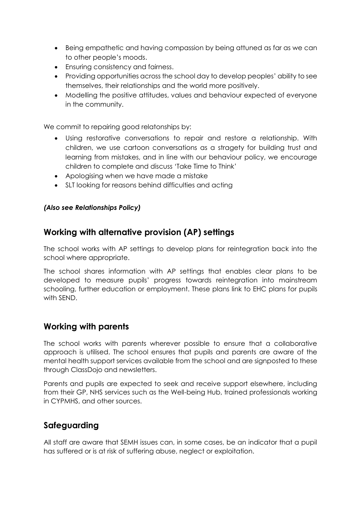- Being empathetic and having compassion by being attuned as far as we can to other people's moods.
- Ensuring consistency and fairness.
- Providing opportunities across the school day to develop peoples' ability to see themselves, their relationships and the world more positively.
- Modelling the positive attitudes, values and behaviour expected of everyone in the community.

We commit to repairing good relatonships by:

- Using restorative conversations to repair and restore a relationship. With children, we use cartoon conversations as a stragety for building trust and learning from mistakes, and in line with our behaviour policy, we encourage children to complete and discuss 'Take Time to Think'
- Apologising when we have made a mistake
- SLT looking for reasons behind difficulties and acting

#### *(Also see Relationships Policy)*

#### **Working with alternative provision (AP) settings**

The school works with AP settings to develop plans for reintegration back into the school where appropriate.

The school shares information with AP settings that enables clear plans to be developed to measure pupils' progress towards reintegration into mainstream schooling, further education or employment. These plans link to EHC plans for pupils with SEND.

#### **Working with parents**

The school works with parents wherever possible to ensure that a collaborative approach is utilised. The school ensures that pupils and parents are aware of the mental health support services available from the school and are signposted to these through ClassDojo and newsletters.

Parents and pupils are expected to seek and receive support elsewhere, including from their GP, NHS services such as the Well-being Hub, trained professionals working in CYPMHS, and other sources.

### **Safeguarding**

All staff are aware that SEMH issues can, in some cases, be an indicator that a pupil has suffered or is at risk of suffering abuse, neglect or exploitation.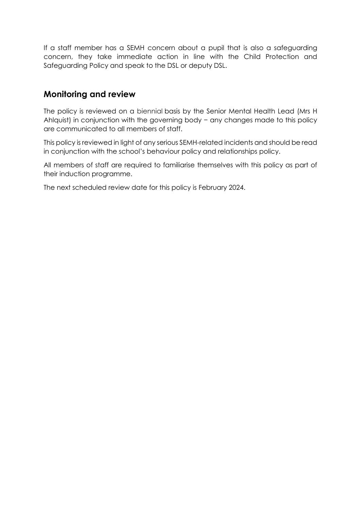If a staff member has a SEMH concern about a pupil that is also a safeguarding concern, they take immediate action in line with the Child Protection and Safeguarding Policy and speak to the DSL or deputy DSL.

#### **Monitoring and review**

The policy is reviewed on a biennial basis by the Senior Mental Health Lead (Mrs H Ahlquist) in conjunction with the governing body − any changes made to this policy are communicated to all members of staff.

This policy is reviewed in light of any serious SEMH-related incidents and should be read in conjunction with the school's behaviour policy and relationships policy.

All members of staff are required to familiarise themselves with this policy as part of their induction programme.

The next scheduled review date for this policy is February 2024.